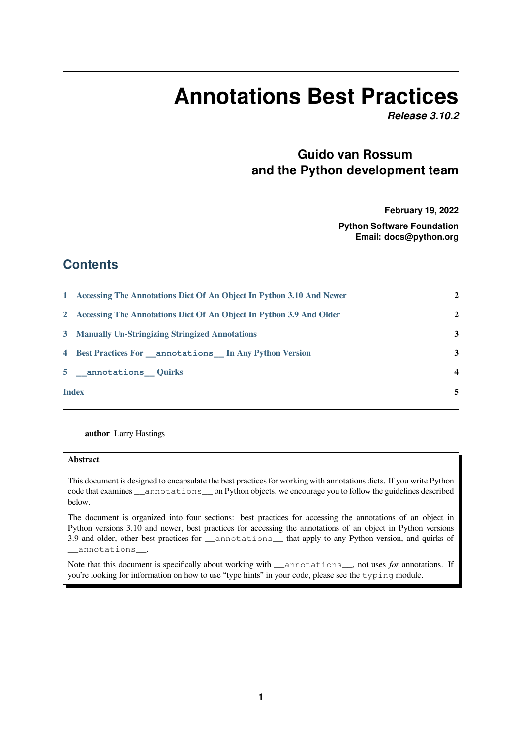# **Annotations Best Practices**

*Release 3.10.2*

## **Guido van Rossum and the Python development team**

**February 19, 2022**

**Python Software Foundation Email: docs@python.org**

### **Contents**

|              | 1 Accessing The Annotations Dict Of An Object In Python 3.10 And Newer | $\overline{2}$          |
|--------------|------------------------------------------------------------------------|-------------------------|
|              | 2 Accessing The Annotations Dict Of An Object In Python 3.9 And Older  | $\mathbf{2}$            |
|              | 3 Manually Un-Stringizing Stringized Annotations                       | 3                       |
|              | 4 Best Practices For annotations In Any Python Version                 | 3                       |
|              | 5 __ annotations __ Quirks                                             | $\overline{\mathbf{4}}$ |
| <b>Index</b> |                                                                        | 5                       |
|              |                                                                        |                         |

**author** Larry Hastings

#### **Abstract**

This document is designed to encapsulate the best practices for working with annotations dicts. If you write Python code that examines \_\_annotations\_\_ on Python objects, we encourage you to follow the guidelines described below.

The document is organized into four sections: best practices for accessing the annotations of an object in Python versions 3.10 and newer, best practices for accessing the annotations of an object in Python versions 3.9 and older, other best practices for \_\_annotations\_\_ that apply to any Python version, and quirks of \_\_annotations\_\_.

Note that this document is specifically about working with \_\_annotations\_\_, not uses *for* annotations. If you're looking for information on how to use "type hints" in your code, please see the typing module.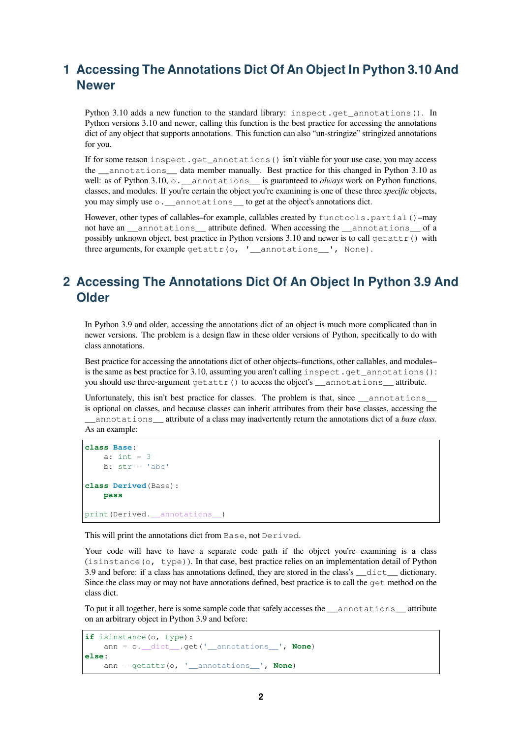## <span id="page-1-0"></span>**1 Accessing The Annotations Dict Of An Object In Python 3.10 And Newer**

Python 3.10 adds a new function to the standard library: inspect.get\_annotations(). In Python versions 3.10 and newer, calling this function is the best practice for accessing the annotations dict of any object that supports annotations. This function can also "un-stringize" stringized annotations for you.

If for some reason inspect.get\_annotations() isn't viable for your use case, you may access the \_\_annotations\_\_ data member manually. Best practice for this changed in Python 3.10 as well: as of Python 3.10,  $\circ$ . \_\_annotations\_\_ is guaranteed to *always* work on Python functions, classes, and modules. If you're certain the object you're examining is one of these three *specific* objects, you may simply use  $\circ$ . \_\_annotations\_\_ to get at the object's annotations dict.

However, other types of callables–for example, callables created by functools.partial()–may not have an \_\_\_annotations \_\_\_attribute defined. When accessing the \_\_\_annotations \_\_\_ of a possibly unknown object, best practice in Python versions 3.10 and newer is to call getattr() with three arguments, for example getattr(o, '\_annotations\_', None).

## <span id="page-1-1"></span>**2 Accessing The Annotations Dict Of An Object In Python 3.9 And Older**

In Python 3.9 and older, accessing the annotations dict of an object is much more complicated than in newer versions. The problem is a design flaw in these older versions of Python, specifically to do with class annotations.

Best practice for accessing the annotations dict of other objects–functions, other callables, and modules– is the same as best practice for 3.10, assuming you aren't calling inspect.get\_annotations(): you should use three-argument  $q$  etattr() to access the object's \_\_annotations\_\_ attribute.

Unfortunately, this isn't best practice for classes. The problem is that, since \_\_annotations\_ is optional on classes, and because classes can inherit attributes from their base classes, accessing the \_\_annotations\_\_ attribute of a class may inadvertently return the annotations dict of a *base class.* As an example:

```
class Base:
   a: int = 3b: str = 'abc'class Derived(Base):
   pass
print(Derived.__annotations__)
```
This will print the annotations dict from Base, not Derived.

Your code will have to have a separate code path if the object you're examining is a class (isinstance(o, type)). In that case, best practice relies on an implementation detail of Python 3.9 and before: if a class has annotations defined, they are stored in the class's \_\_dict\_\_ dictionary. Since the class may or may not have annotations defined, best practice is to call the get method on the class dict.

To put it all together, here is some sample code that safely accesses the annotations attribute on an arbitrary object in Python 3.9 and before:

```
if isinstance(o, type):
    ann = o.__dict__.get('__annotations__', None)
else:
    ann = getattr(o, '__annotations__', None)
```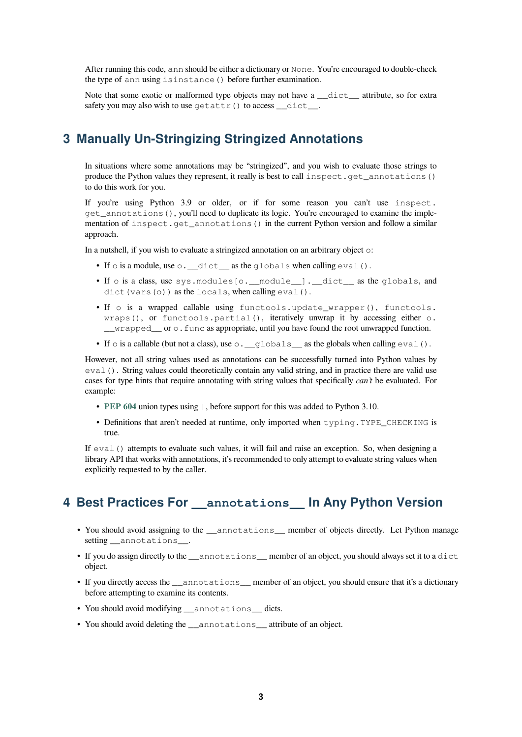After running this code, ann should be either a dictionary or None. You're encouraged to double-check the type of ann using isinstance() before further examination.

Note that some exotic or malformed type objects may not have a  $idict$  attribute, so for extra safety you may also wish to use getattr() to access \_\_dict\_\_.

#### **3 Manually Un-Stringizing Stringized Annotations**

<span id="page-2-0"></span>In situations where some annotations may be "stringized", and you wish to evaluate those strings to produce the Python values they represent, it really is best to call inspect.get\_annotations() to do this work for you.

If you're using Python 3.9 or older, or if for some reason you can't use inspect. get\_annotations(), you'll need to duplicate its logic. You're encouraged to examine the implementation of inspect.get annotations() in the current Python version and follow a similar approach.

In a nutshell, if you wish to evaluate a stringized annotation on an arbitrary object o:

- If o is a module, use o. \_\_dict\_\_as the globals when calling eval().
- If o is a class, use sys. modules [o. module ]. dict as the globals, and dict(vars(o)) as the locals, when calling eval().
- If o is a wrapped callable using functools.update\_wrapper(), functools. wraps(), or functools.partial(), iteratively unwrap it by accessing either o. \_\_wrapped\_\_ or o.func as appropriate, until you have found the root unwrapped function.
- If  $\circ$  is a callable (but not a class), use  $\circ$ . globals as the globals when calling eval().

However, not all string values used as annotations can be successfully turned into Python values by eval(). String values could theoretically contain any valid string, and in practice there are valid use cases for type hints that require annotating with string values that specifically *can't* be evaluated. For example:

- **PEP 604** union types using |, before support for this was added to Python 3.10.
- Definitions that aren't needed at runtime, only imported when typing. TYPE\_CHECKING is true.

If ev[al\(\)](https://www.python.org/dev/peps/pep-0604) attempts to evaluate such values, it will fail and raise an exception. So, when designing a library API that works with annotations, it's recommended to only attempt to evaluate string values when explicitly requested to by the caller.

## **4 Best Practices For \_\_annotations\_\_ In Any Python Version**

- <span id="page-2-1"></span>• You should avoid assigning to the \_\_annotations\_\_ member of objects directly. Let Python manage setting annotations.
- If you do assign directly to the annotations member of an object, you should always set it to a dict object.
- If you directly access the \_\_annotations\_\_ member of an object, you should ensure that it's a dictionary before attempting to examine its contents.
- You should avoid modifying \_\_annotations\_\_ dicts.
- You should avoid deleting the annotations attribute of an object.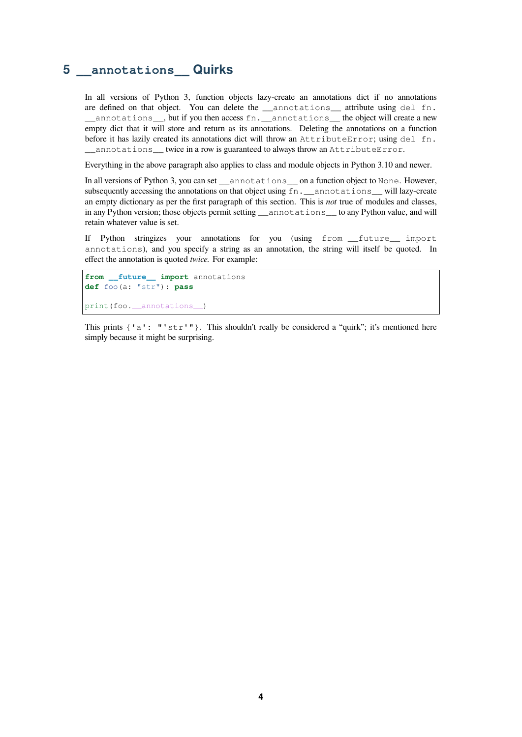#### **5 \_\_annotations\_\_ Quirks**

In all versions of Python 3, function objects lazy-create an annotations dict if no annotations are defined on that object. You can delete the \_\_annotations\_\_ attribute using del fn. \_\_annotations\_\_, but if you then access fn.\_\_annotations\_\_ the object will create a new empty dict that it will store and return as its annotations. Deleting the annotations on a function before it has lazily created its annotations dict will throw an AttributeError; using del fn. annotations twice in a row is guaranteed to always throw an AttributeError.

Everything in the above paragraph also applies to class and module objects in Python 3.10 and newer.

In all versions of Python 3, you can set \_\_annotations\_\_ on a function object to None. However, subsequently accessing the annotations on that object using  $fn$ . \_\_annotations\_\_ will lazy-create an empty dictionary as per the first paragraph of this section. This is *not* true of modules and classes, in any Python version; those objects permit setting \_\_annotations\_\_ to any Python value, and will retain whatever value is set.

If Python stringizes your annotations for you (using from \_\_future\_\_ import annotations), and you specify a string as an annotation, the string will itself be quoted. In effect the annotation is quoted *twice.* For example:

```
from __future__ import annotations
def foo(a: "str"): pass
print(foo.__annotations__)
```
This prints  $\{a : "str" \}$ . This shouldn't really be considered a "quirk"; it's mentioned here simply because it might be surprising.